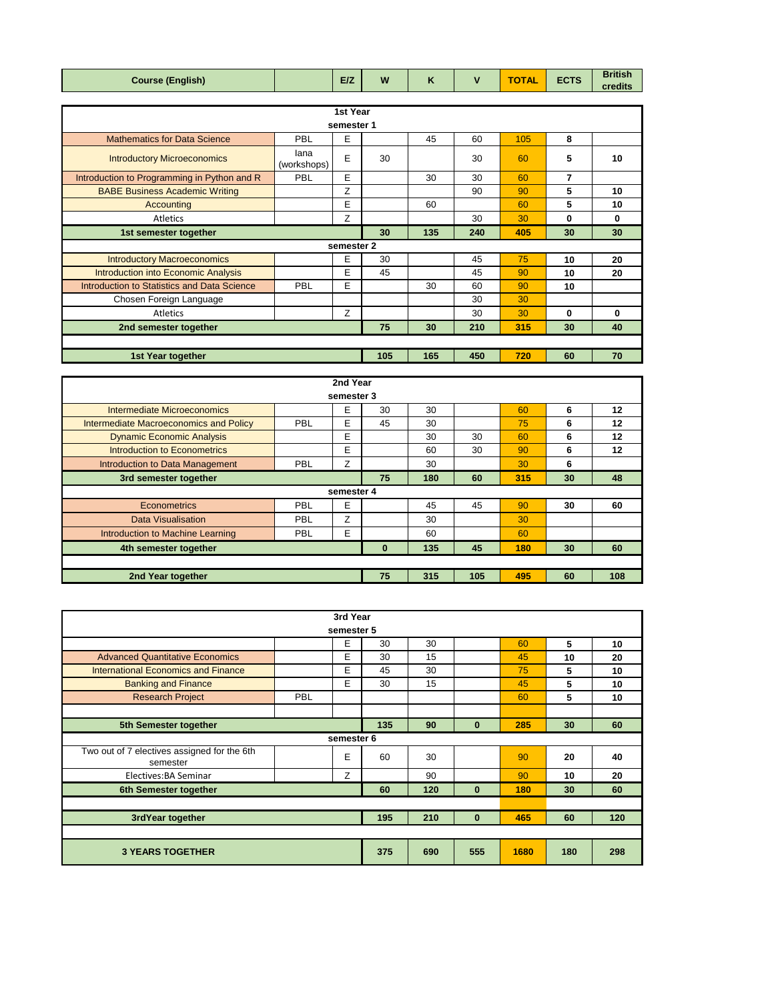| (English)<br>Course ( | <b>E/Z</b> | W | - -<br>. . |  | <b>TA</b><br>1 AL<br>$\tilde{\phantom{a}}$ | <b>FOTO</b><br>ᄄᇅᅝ | <b>British</b><br>credits |
|-----------------------|------------|---|------------|--|--------------------------------------------|--------------------|---------------------------|
|-----------------------|------------|---|------------|--|--------------------------------------------|--------------------|---------------------------|

| 1st Year                                    |                     |            |     |     |     |     |          |    |  |
|---------------------------------------------|---------------------|------------|-----|-----|-----|-----|----------|----|--|
| semester 1                                  |                     |            |     |     |     |     |          |    |  |
| <b>Mathematics for Data Science</b>         | PBL                 | Е          |     | 45  | 60  | 105 | 8        |    |  |
| <b>Introductory Microeconomics</b>          | lana<br>(workshops) | Е          | 30  |     | 30  | 60  | 5        | 10 |  |
| Introduction to Programming in Python and R | PBL                 | Е          |     | 30  | 30  | 60  | 7        |    |  |
| <b>BABE Business Academic Writing</b>       |                     | Z          |     |     | 90  | 90  | 5        | 10 |  |
| Accounting                                  |                     | Е          |     | 60  |     | 60  | 5        | 10 |  |
| <b>Atletics</b>                             |                     | Z          |     |     | 30  | 30  | 0        | 0  |  |
| 1st semester together                       |                     |            | 30  | 135 | 240 | 405 | 30       | 30 |  |
|                                             |                     | semester 2 |     |     |     |     |          |    |  |
| <b>Introductory Macroeconomics</b>          |                     | E          | 30  |     | 45  | 75  | 10       | 20 |  |
| <b>Introduction into Economic Analysis</b>  |                     | Е          | 45  |     | 45  | 90  | 10       | 20 |  |
| Introduction to Statistics and Data Science | <b>PBL</b>          | E          |     | 30  | 60  | 90  | 10       |    |  |
| Chosen Foreign Language                     |                     |            |     |     | 30  | 30  |          |    |  |
| Atletics                                    |                     | Z          |     |     | 30  | 30  | $\bf{0}$ | 0  |  |
| 2nd semester together                       |                     |            | 75  | 30  | 210 | 315 | 30       | 40 |  |
|                                             |                     |            |     |     |     |     |          |    |  |
| 1st Year together                           |                     |            | 105 | 165 | 450 | 720 | 60       | 70 |  |

|                                        |            | 2nd Year   |    |     |     |     |    |         |
|----------------------------------------|------------|------------|----|-----|-----|-----|----|---------|
|                                        |            | semester 3 |    |     |     |     |    |         |
| Intermediate Microeconomics            |            | E          | 30 | 30  |     | 60  | 6  | 12      |
| Intermediate Macroeconomics and Policy | PBL        | Е          | 45 | 30  |     | 75  | 6  | 12      |
| <b>Dynamic Economic Analysis</b>       |            | E          |    | 30  | 30  | 60  | 6  | 12      |
| Introduction to Econometrics           |            | E          |    | 60  | 30  | 90  | 6  | $12 \,$ |
| Introduction to Data Management        | PBL        | Z          |    | 30  |     | 30  | 6  |         |
| 3rd semester together                  |            |            | 75 | 180 | 60  | 315 | 30 | 48      |
|                                        |            | semester 4 |    |     |     |     |    |         |
| Econometrics                           | PBL        | Е          |    | 45  | 45  | 90  | 30 | 60      |
| <b>Data Visualisation</b>              | PBL        | Z          |    | 30  |     | 30  |    |         |
| Introduction to Machine Learning       | <b>PBL</b> | E          |    | 60  |     | 60  |    |         |
| 4th semester together                  |            |            | 0  | 135 | 45  | 180 | 30 | 60      |
|                                        |            |            |    |     |     |     |    |         |
| 2nd Year together                      |            |            | 75 | 315 | 105 | 495 | 60 | 108     |

|                                                         |            | 3rd Year   |     |     |          |      |     |     |
|---------------------------------------------------------|------------|------------|-----|-----|----------|------|-----|-----|
|                                                         |            | semester 5 |     |     |          |      |     |     |
|                                                         |            | E          | 30  | 30  |          | 60   | 5   | 10  |
| <b>Advanced Quantitative Economics</b>                  |            | E          | 30  | 15  |          | 45   | 10  | 20  |
| International Economics and Finance                     |            | E          | 45  | 30  |          | 75   | 5   | 10  |
| <b>Banking and Finance</b>                              |            | E          | 30  | 15  |          | 45   | 5   | 10  |
| <b>Research Project</b>                                 | <b>PBL</b> |            |     |     |          | 60   | 5   | 10  |
|                                                         |            |            |     |     |          |      |     |     |
| 5th Semester together                                   |            |            | 135 | 90  | $\bf{0}$ | 285  | 30  | 60  |
|                                                         |            | semester 6 |     |     |          |      |     |     |
| Two out of 7 electives assigned for the 6th<br>semester |            | E          | 60  | 30  |          | 90   | 20  | 40  |
| Electives: BA Seminar                                   |            | Z          |     | 90  |          | 90   | 10  | 20  |
| 6th Semester together                                   |            |            | 60  | 120 | $\bf{0}$ | 180  | 30  | 60  |
|                                                         |            |            |     |     |          |      |     |     |
| 3rdYear together                                        |            |            | 195 | 210 | $\bf{0}$ | 465  | 60  | 120 |
|                                                         |            |            |     |     |          |      |     |     |
| <b>3 YEARS TOGETHER</b>                                 |            |            | 375 | 690 | 555      | 1680 | 180 | 298 |